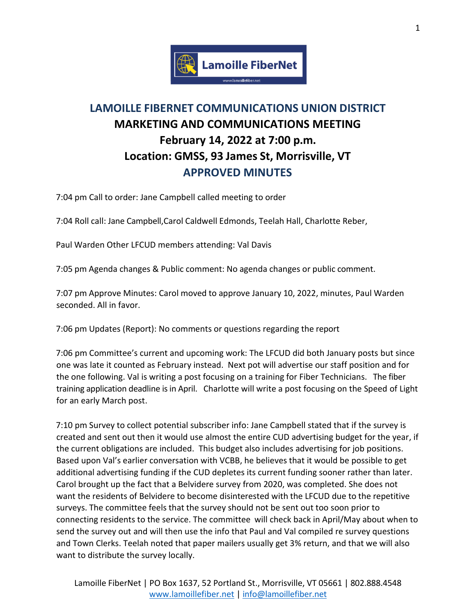

## **LAMOILLE FIBERNET COMMUNICATIONS UNION DISTRICT MARKETING AND COMMUNICATIONS MEETING February 14, 2022 at 7:00 p.m. Location: GMSS, 93 James St, Morrisville, VT APPROVED MINUTES**

7:04 pm Call to order: Jane Campbell called meeting to order

7:04 Roll call: Jane Campbell,Carol Caldwell Edmonds, Teelah Hall, Charlotte Reber,

Paul Warden Other LFCUD members attending: Val Davis

7:05 pm Agenda changes & Public comment: No agenda changes or public comment.

7:07 pm Approve Minutes: Carol moved to approve January 10, 2022, minutes, Paul Warden seconded. All in favor.

7:06 pm Updates (Report): No comments or questions regarding the report

7:06 pm Committee's current and upcoming work: The LFCUD did both January posts but since one was late it counted as February instead. Next pot will advertise our staff position and for the one following. Val is writing a post focusing on a training for Fiber Technicians. The fiber training application deadline is in April. Charlotte will write a post focusing on the Speed of Light for an early March post.

7:10 pm Survey to collect potential subscriber info: Jane Campbell stated that if the survey is created and sent out then it would use almost the entire CUD advertising budget for the year, if the current obligations are included. This budget also includes advertising for job positions. Based upon Val's earlier conversation with VCBB, he believes that it would be possible to get additional advertising funding if the CUD depletes its current funding sooner rather than later. Carol brought up the fact that a Belvidere survey from 2020, was completed. She does not want the residents of Belvidere to become disinterested with the LFCUD due to the repetitive surveys. The committee feels that the survey should not be sent out too soon prior to connecting residents to the service. The committee will check back in April/May about when to send the survey out and will then use the info that Paul and Val compiled re survey questions and Town Clerks. Teelah noted that paper mailers usually get 3% return, and that we will also want to distribute the survey locally.